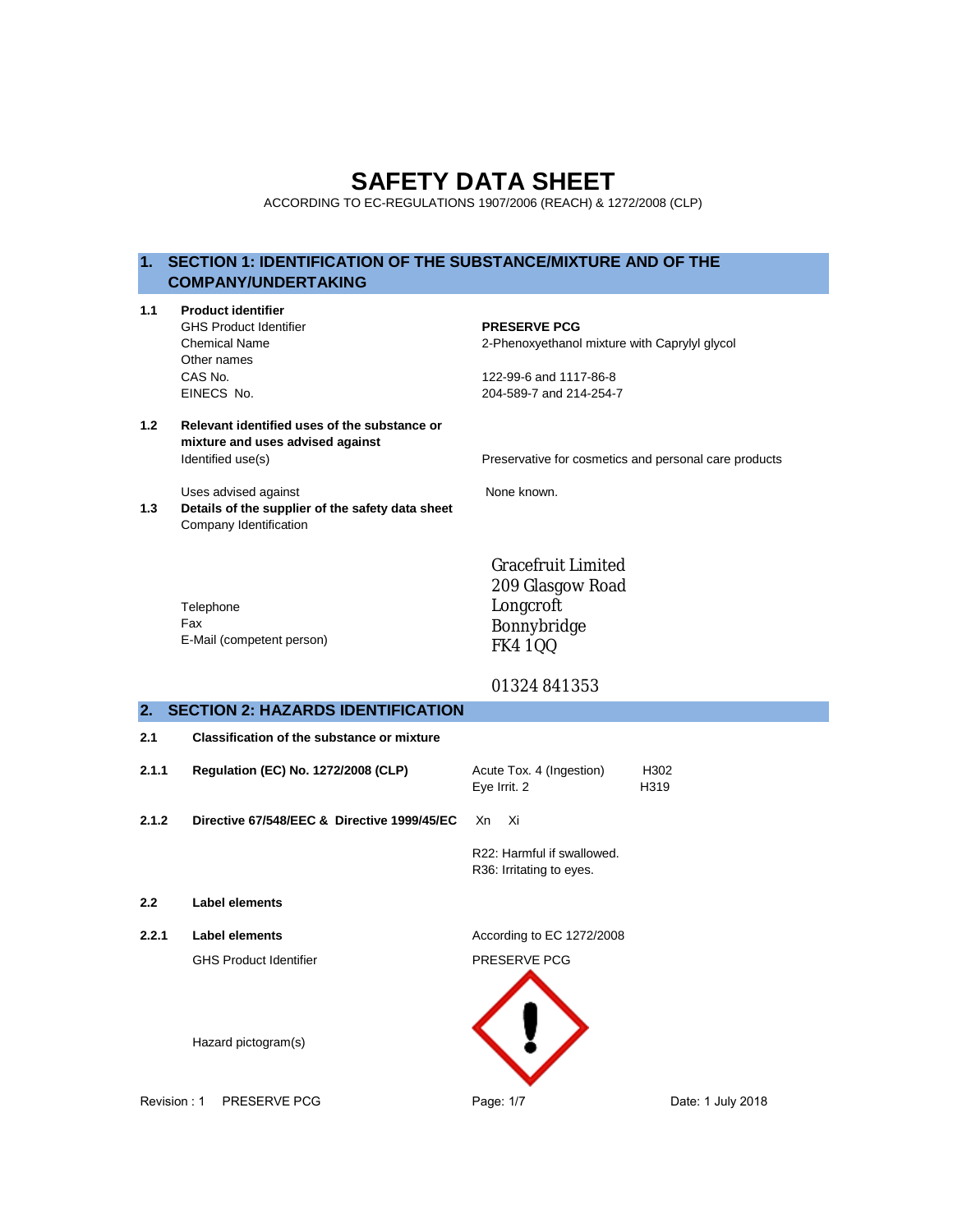# **SAFETY DATA SHEET**

ACCORDING TO EC-REGULATIONS 1907/2006 (REACH) & 1272/2008 (CLP)

# **1. SECTION 1: IDENTIFICATION OF THE SUBSTANCE/MIXTURE AND OF THE COMPANY/UNDERTAKING**

| 1.1         | <b>Product identifier</b><br><b>GHS Product Identifier</b><br><b>Chemical Name</b><br>Other names<br>CAS No.<br>EINECS No. | <b>PRESERVE PCG</b><br>2-Phenoxyethanol mixture with Caprylyl glycol<br>122-99-6 and 1117-86-8<br>204-589-7 and 214-254-7 |                   |
|-------------|----------------------------------------------------------------------------------------------------------------------------|---------------------------------------------------------------------------------------------------------------------------|-------------------|
| 1.2         | Relevant identified uses of the substance or<br>mixture and uses advised against<br>Identified use(s)                      | Preservative for cosmetics and personal care products                                                                     |                   |
| 1.3         | Uses advised against<br>Details of the supplier of the safety data sheet<br>Company Identification                         | None known.                                                                                                               |                   |
|             | Telephone<br>Fax<br>E-Mail (competent person)                                                                              | <b>Gracefruit Limited</b><br>209 Glasgow Road<br>Longcroft<br>Bonnybridge<br><b>FK4 1QQ</b>                               |                   |
|             |                                                                                                                            | 01324841353                                                                                                               |                   |
| 2.          | <b>SECTION 2: HAZARDS IDENTIFICATION</b>                                                                                   |                                                                                                                           |                   |
| 2.1         | <b>Classification of the substance or mixture</b>                                                                          |                                                                                                                           |                   |
| 2.1.1       | Regulation (EC) No. 1272/2008 (CLP)                                                                                        | Acute Tox. 4 (Ingestion)<br>Eye Irrit. 2                                                                                  | H302<br>H319      |
| 2.1.2       | Directive 67/548/EEC & Directive 1999/45/EC                                                                                | Xn<br>Xi                                                                                                                  |                   |
|             |                                                                                                                            | R22: Harmful if swallowed.<br>R36: Irritating to eyes.                                                                    |                   |
| 2.2         | <b>Label elements</b>                                                                                                      |                                                                                                                           |                   |
| 2.2.1       | <b>Label elements</b>                                                                                                      | According to EC 1272/2008                                                                                                 |                   |
|             | <b>GHS Product Identifier</b>                                                                                              | PRESERVE PCG                                                                                                              |                   |
| Revision: 1 | Hazard pictogram(s)<br>PRESERVE PCG                                                                                        | Page: 1/7                                                                                                                 | Date: 1 July 2018 |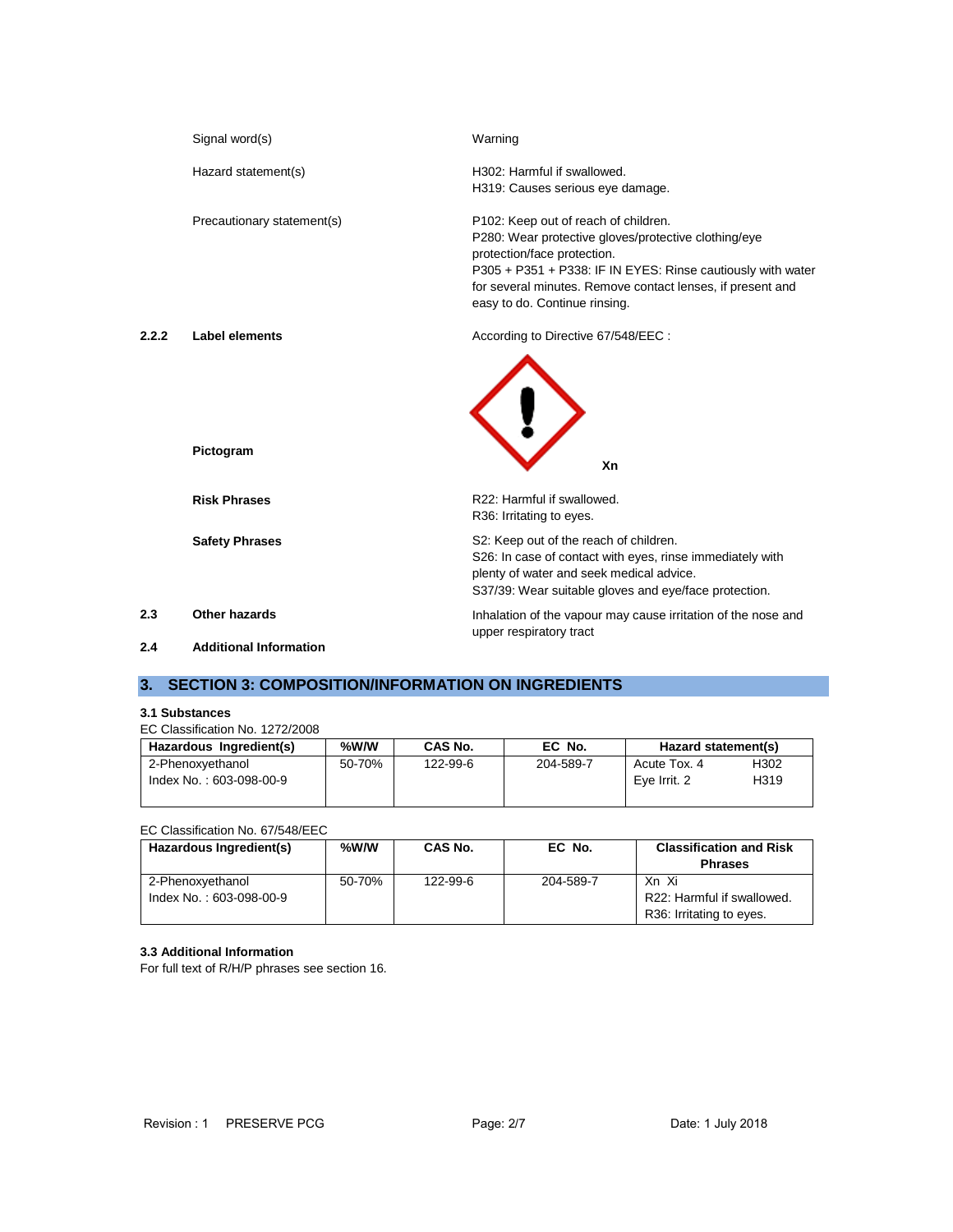|       | Signal word(s)                | Warning                                                                                                                                                                                                                                                                                   |
|-------|-------------------------------|-------------------------------------------------------------------------------------------------------------------------------------------------------------------------------------------------------------------------------------------------------------------------------------------|
|       | Hazard statement(s)           | H302: Harmful if swallowed.<br>H319: Causes serious eye damage.                                                                                                                                                                                                                           |
|       | Precautionary statement(s)    | P102: Keep out of reach of children.<br>P280: Wear protective gloves/protective clothing/eye<br>protection/face protection.<br>P305 + P351 + P338: IF IN EYES: Rinse cautiously with water<br>for several minutes. Remove contact lenses, if present and<br>easy to do. Continue rinsing. |
| 2.2.2 | <b>Label elements</b>         | According to Directive 67/548/EEC :                                                                                                                                                                                                                                                       |
|       | Pictogram                     | Xn                                                                                                                                                                                                                                                                                        |
|       | <b>Risk Phrases</b>           | R22: Harmful if swallowed.<br>R36: Irritating to eyes.                                                                                                                                                                                                                                    |
|       | <b>Safety Phrases</b>         | S2: Keep out of the reach of children.<br>S26: In case of contact with eyes, rinse immediately with<br>plenty of water and seek medical advice.<br>S37/39: Wear suitable gloves and eye/face protection.                                                                                  |
| 2.3   | Other hazards                 | Inhalation of the vapour may cause irritation of the nose and<br>upper respiratory tract                                                                                                                                                                                                  |
| 2.4   | <b>Additional Information</b> |                                                                                                                                                                                                                                                                                           |

# **3. SECTION 3: COMPOSITION/INFORMATION ON INGREDIENTS**

# **3.1 Substances**

# EC Classification No. 1272/2008

| Hazardous Ingredient(s) | %W/W   | CAS No.  | EC No.    | Hazard statement(s) |      |
|-------------------------|--------|----------|-----------|---------------------|------|
| 2-Phenoxyethanol        | 50-70% | 122-99-6 | 204-589-7 | Acute Tox, 4        | H302 |
| Index No.: 603-098-00-9 |        |          |           | Eve Irrit, 2        | H319 |

# EC Classification No. 67/548/EEC

| Hazardous Ingredient(s) | %W/W   | CAS No.  | EC No.    | <b>Classification and Risk</b> |
|-------------------------|--------|----------|-----------|--------------------------------|
|                         |        |          |           | <b>Phrases</b>                 |
| 2-Phenoxyethanol        | 50-70% | 122-99-6 | 204-589-7 | Xn Xi                          |
| Index No.: 603-098-00-9 |        |          |           | R22: Harmful if swallowed.     |
|                         |        |          |           | R36: Irritating to eyes.       |

### **3.3 Additional Information**

For full text of R/H/P phrases see section 16.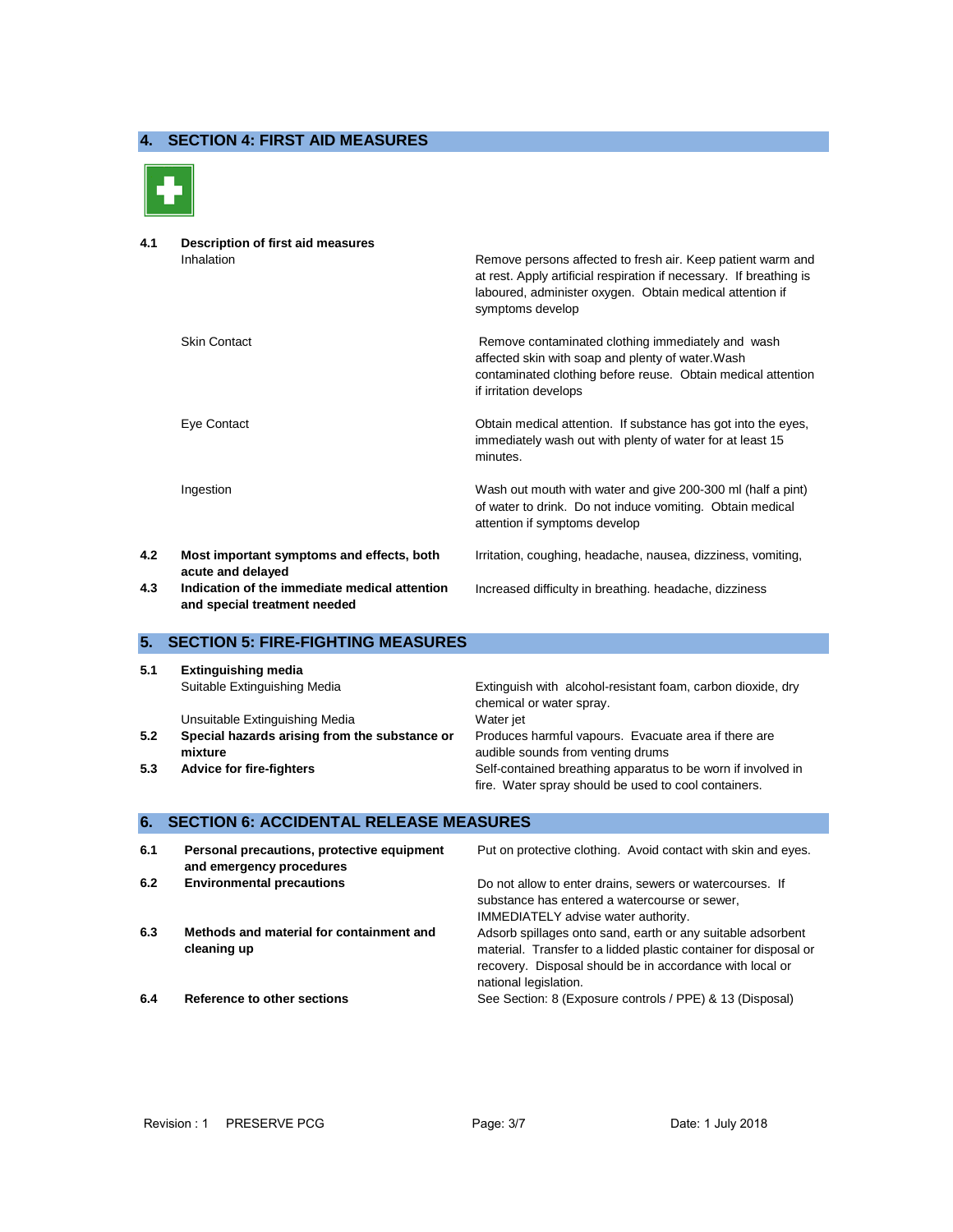## **4. SECTION 4: FIRST AID MEASURES**



**4.1 Description of first aid measures** Inhalation **Remove persons affected to fresh air.** Keep patient warm and at rest. Apply artificial respiration if necessary. If breathing is laboured, administer oxygen. Obtain medical attention if symptoms develop Skin Contact **Remove contaminated clothing immediately and wash** affected skin with soap and plenty of water.Wash contaminated clothing before reuse. Obtain medical attention if irritation develops Eye Contact Obtain medical attention. If substance has got into the eyes, immediately wash out with plenty of water for at least 15 minutes. Ingestion Wash out mouth with water and give 200-300 ml (half a pint) of water to drink. Do not induce vomiting. Obtain medical attention if symptoms develop **4.2 Most important symptoms and effects, both acute and delayed** Irritation, coughing, headache, nausea, dizziness, vomiting, **4.3 Indication of the immediate medical attention**  Increased difficulty in breathing. headache, dizziness

# **5. SECTION 5: FIRE-FIGHTING MEASURES**

**and special treatment needed**

| 5.1 | <b>Extinguishing media</b>                    |                                                              |
|-----|-----------------------------------------------|--------------------------------------------------------------|
|     | Suitable Extinguishing Media                  | Extinguish with alcohol-resistant foam, carbon dioxide, dry  |
|     |                                               | chemical or water spray.                                     |
|     | Unsuitable Extinguishing Media                | Water iet                                                    |
| 5.2 | Special hazards arising from the substance or | Produces harmful vapours. Evacuate area if there are         |
|     | mixture                                       | audible sounds from venting drums                            |
| 5.3 | <b>Advice for fire-fighters</b>               | Self-contained breathing apparatus to be worn if involved in |
|     |                                               | fire. Water spray should be used to cool containers.         |

#### **6. SECTION 6: ACCIDENTAL RELEASE MEASURES**

| 6.1 | Personal precautions, protective equipment<br>and emergency procedures | Put on protective clothing. Avoid contact with skin and eyes.                                                                                                                                                        |
|-----|------------------------------------------------------------------------|----------------------------------------------------------------------------------------------------------------------------------------------------------------------------------------------------------------------|
| 6.2 | <b>Environmental precautions</b>                                       | Do not allow to enter drains, sewers or watercourses. If<br>substance has entered a watercourse or sewer,<br><b>IMMEDIATELY</b> advise water authority.                                                              |
| 6.3 | Methods and material for containment and<br>cleaning up                | Adsorb spillages onto sand, earth or any suitable adsorbent<br>material. Transfer to a lidded plastic container for disposal or<br>recovery. Disposal should be in accordance with local or<br>national legislation. |
| 6.4 | Reference to other sections                                            | See Section: 8 (Exposure controls / PPE) & 13 (Disposal)                                                                                                                                                             |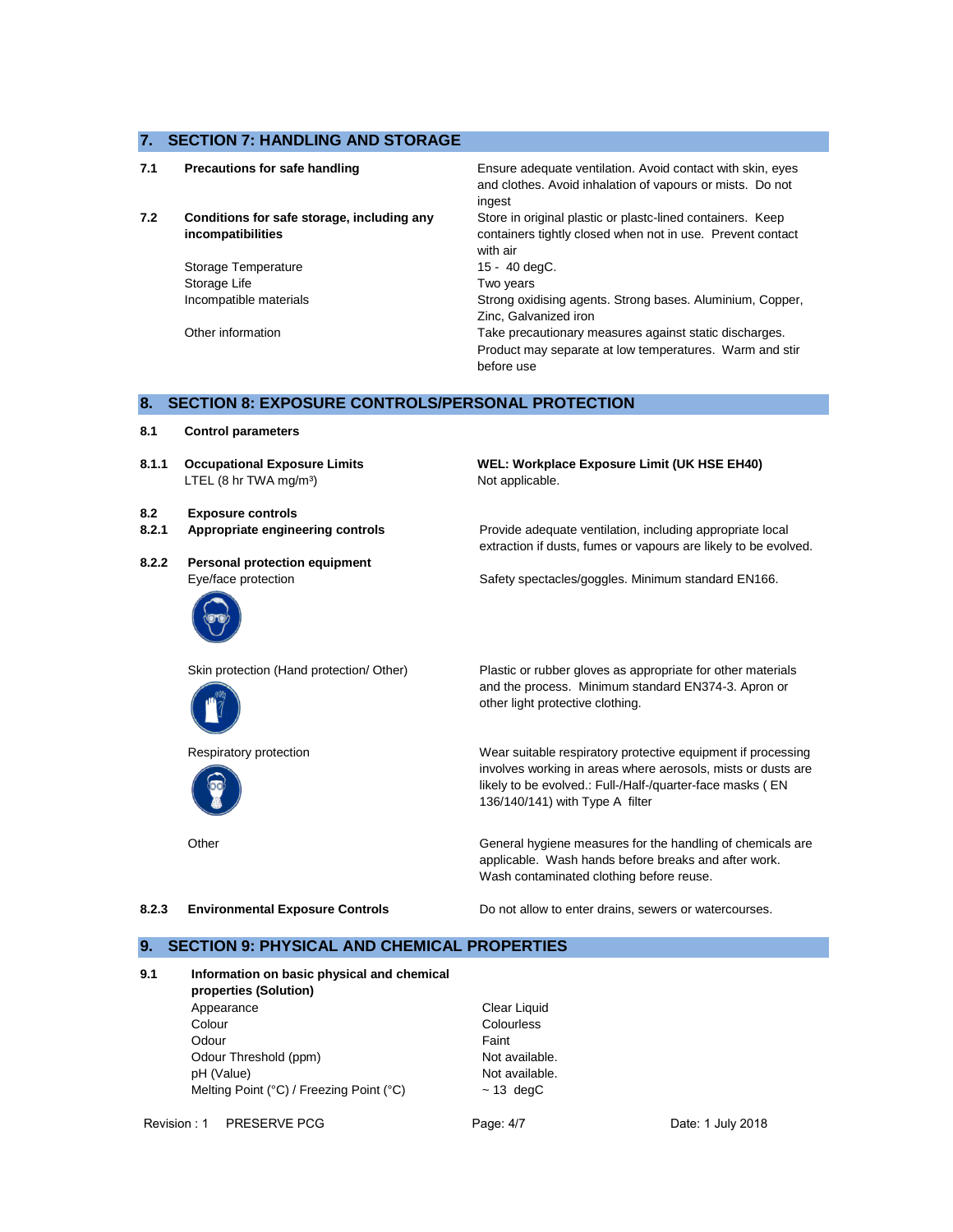### **7. SECTION 7: HANDLING AND STORAGE**

| 7.1 | <b>Precautions for safe handling</b>                            | Ensure adequate ventilation. Avoid contact with skin, eyes<br>and clothes. Avoid inhalation of vapours or mists. Do not<br>ingest    |
|-----|-----------------------------------------------------------------|--------------------------------------------------------------------------------------------------------------------------------------|
| 7.2 | Conditions for safe storage, including any<br>incompatibilities | Store in original plastic or plastc-lined containers. Keep<br>containers tightly closed when not in use. Prevent contact<br>with air |
|     | Storage Temperature                                             | 15 - 40 degC.                                                                                                                        |
|     | Storage Life                                                    | Two years                                                                                                                            |
|     | Incompatible materials                                          | Strong oxidising agents. Strong bases. Aluminium, Copper,<br>Zinc. Galvanized iron                                                   |
|     | Other information                                               | Take precautionary measures against static discharges.<br>Product may separate at low temperatures. Warm and stir<br>before use      |

### **8. SECTION 8: EXPOSURE CONTROLS/PERSONAL PROTECTION**

- **8.1 Control parameters**
- **8.1.1 Occupational Exposure Limits** LTEL (8 hr TWA mg/m<sup>3</sup>)
- **8.2 Exposure controls**
- **8.2.1 Appropriate engineering controls** Provide adequate ventilation, including appropriate local
- **8.2.2 Personal protection equipment**







**Other** 

Not applicable.

**WEL: Workplace Exposure Limit (UK HSE EH40)**

extraction if dusts, fumes or vapours are likely to be evolved.

Eye/face protection Safety spectacles/goggles. Minimum standard EN166.

Skin protection (Hand protection/ Other) Plastic or rubber gloves as appropriate for other materials and the process. Minimum standard EN374-3. Apron or other light protective clothing.

Respiratory protection Wear suitable respiratory protective equipment if processing involves working in areas where aerosols, mists or dusts are likely to be evolved.: Full-/Half-/quarter-face masks ( EN 136/140/141) with Type A filter

> applicable. Wash hands before breaks and after work. General hygiene measures for the handling of chemicals are Wash contaminated clothing before reuse.

**8.2.3 Environmental Exposure Controls** Do not allow to enter drains, sewers or watercourses.

#### **9. SECTION 9: PHYSICAL AND CHEMICAL PROPERTIES**

| Information on basic physical and chemical<br>properties (Solution) |  |  |  |  |
|---------------------------------------------------------------------|--|--|--|--|
| Clear Liquid                                                        |  |  |  |  |
| Colourless                                                          |  |  |  |  |
| Faint                                                               |  |  |  |  |
| Not available.                                                      |  |  |  |  |
| Not available.                                                      |  |  |  |  |
| $~13$ degC                                                          |  |  |  |  |
|                                                                     |  |  |  |  |

Revision : 1 PRESERVE PCG Page: 4/7 Page: 4/7 Date: 1 July 2018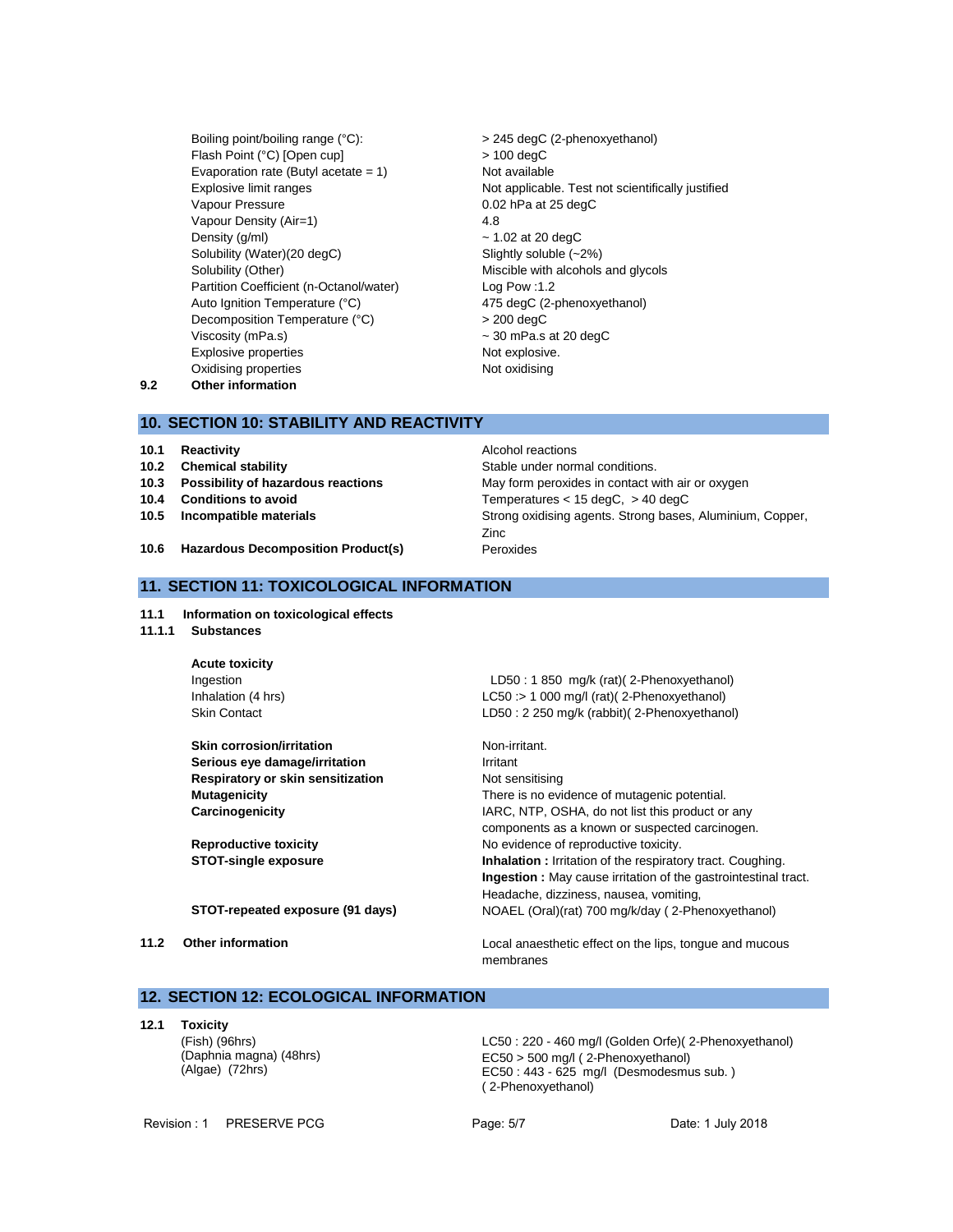- Boiling point/boiling range (°C):  $>$  245 degC (2-phenoxyethanol) Flash Point (°C) [Open cup] > 100 degC Evaporation rate (Butyl acetate  $= 1$ ) Not available Vapour Pressure 0.02 hPa at 25 degC Vapour Density (Air=1) 4.8 Density  $(g/m)$   $\sim 1.02$  at 20 degC Solubility (Water)(20 degC) Slightly soluble (~2%) Solubility (Other) Miscible with alcohols and glycols Partition Coefficient (n-Octanol/water) Log Pow :1.2 Auto Ignition Temperature (°C) 475 degC (2-phenoxyethanol) Decomposition Temperature (°C) > 200 degC Viscosity (mPa.s) ~ 30 mPa.s at 20 degC Explosive properties Not explosive. Oxidising properties Not oxidising
- Explosive limit ranges **Not applicable**. Test not scientifically justified
- **9.2 Other information**

#### **10. SECTION 10: STABILITY AND REACTIVITY**

- **10.1 Reactivity Alcohol reactions**
- 
- 
- 
- 

**10.2 Chemical stability 10.2 Chemical stability Stable under normal conditions. 10.3 Possibility of hazardous reactions** May form peroxides in contact with air or oxygen **10.4 Conditions to avoid Temperatures** < 15 degC, > 40 degC **10.5 Incompatible materials 10.5 Incompatible materials Strong oxidising agents. Strong bases, Aluminium, Copper,** Zinc

**10.6 Hazardous Decomposition Product(s)** Peroxides

### **11. SECTION 11: TOXICOLOGICAL INFORMATION**

- **11.1 Information on toxicological effects**
- **11.1.1 Substances**

**Acute toxicity** Ingestion LD50 : 1 850 mg/k (rat)( 2-Phenoxyethanol) Inhalation (4 hrs) LC50 :> 1 000 mg/l (rat)( 2-Phenoxyethanol) Skin Contact LD50 : 2 250 mg/k (rabbit)( 2-Phenoxyethanol) **Skin corrosion/irritation** Non-irritant. **Serious eye damage/irritation IFF** Irritant **Respiratory or skin sensitization** Not sensitising **Mutagenicity** There is no evidence of mutagenic potential. **Carcinogenicity** IARC, NTP, OSHA, do not list this product or any components as a known or suspected carcinogen. **Reproductive toxicity No evidence of reproductive toxicity. STOT-single exposure Inhalation** : Irritation of the respiratory tract. Coughing.

**Ingestion :** May cause irritation of the gastrointestinal tract. Headache, dizziness, nausea, vomiting, **STOT-repeated exposure (91 days)** NOAEL (Oral)(rat) 700 mg/k/day ( 2-Phenoxyethanol)

**11.2 Other information** Local anaesthetic effect on the lips, tongue and mucous membranes

## **12. SECTION 12: ECOLOGICAL INFORMATION**

**12.1 Toxicity**

(Fish) (96hrs) (Daphnia magna) (48hrs) (Algae) (72hrs)

LC50 : 220 - 460 mg/l (Golden Orfe)( 2-Phenoxyethanol) EC50 > 500 mg/l ( 2-Phenoxyethanol) EC50 : 443 - 625 mg/l (Desmodesmus sub. ) ( 2-Phenoxyethanol)

Revision : 1 PRESERVE PCG Page: 5/7 Page: 5/7 Date: 1 July 2018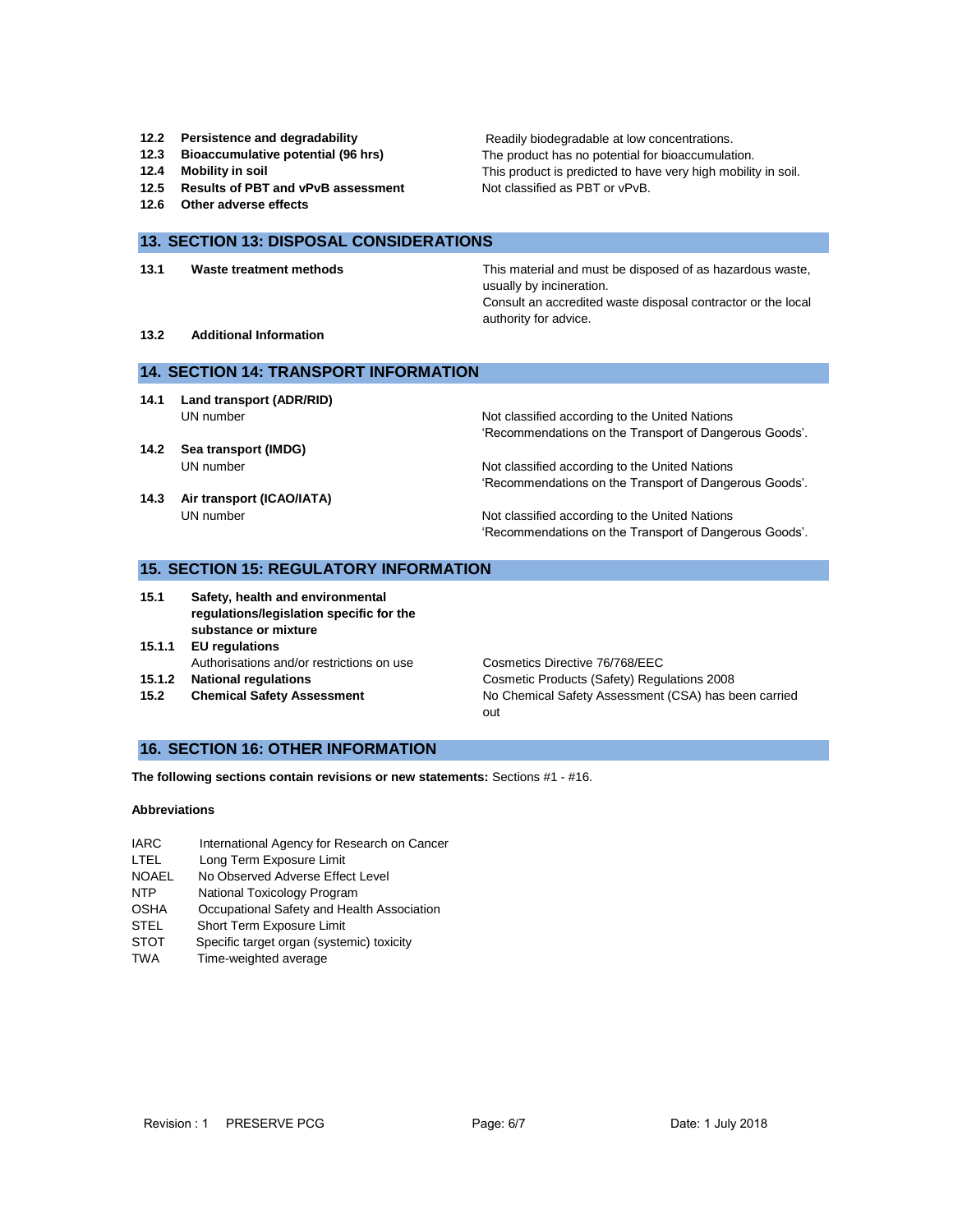- 
- 
- 
- **12.5 Results of PBT and vPvB assessment** Not classified as PBT or vPvB.
- **12.6 Other adverse effects**

**12.2 Persistence and degradability** Readily biodegradable at low concentrations. **12.3 Bioaccumulative potential (96 hrs)** The product has no potential for bioaccumulation. **12.4 Mobility in soil 12.4 Mobility in soil.** This product is predicted to have very high mobility in soil.

#### **13. SECTION 13: DISPOSAL CONSIDERATIONS**

**13.1 Waste treatment methods** This material and must be disposed of as hazardous waste, usually by incineration. Consult an accredited waste disposal contractor or the local authority for advice.

**13.2 Additional Information**

#### **14. SECTION 14: TRANSPORT INFORMATION**

- **14.1 Land transport (ADR/RID)**
- **14.2 Sea transport (IMDG)**
- **14.3 Air transport (ICAO/IATA)**

UN number **Not classified according to the United Nations** 'Recommendations on the Transport of Dangerous Goods'.

UN number **Not classified according to the United Nations** 'Recommendations on the Transport of Dangerous Goods'.

UN number Not classified according to the United Nations 'Recommendations on the Transport of Dangerous Goods'.

#### **15. SECTION 15: REGULATORY INFORMATION**

- **15.1 Safety, health and environmental regulations/legislation specific for the substance or mixture**
- **15.1.1 EU regulations** Authorisations and/or restrictions on use Cosmetics Directive 76/768/EEC
- 
- 

**15.1.2 National regulations** Cosmetic Products (Safety) Regulations 2008 **15.2 Chemical Safety Assessment** No Chemical Safety Assessment (CSA) has been carried out

# **16. SECTION 16: OTHER INFORMATION**

**The following sections contain revisions or new statements:** Sections #1 - #16.

#### **Abbreviations**

- IARC International Agency for Research on Cancer
- LTEL Long Term Exposure Limit
- NOAEL No Observed Adverse Effect Level
- NTP National Toxicology Program
- OSHA Occupational Safety and Health Association
- STEL Short Term Exposure Limit
- STOT Specific target organ (systemic) toxicity
- TWA Time-weighted average